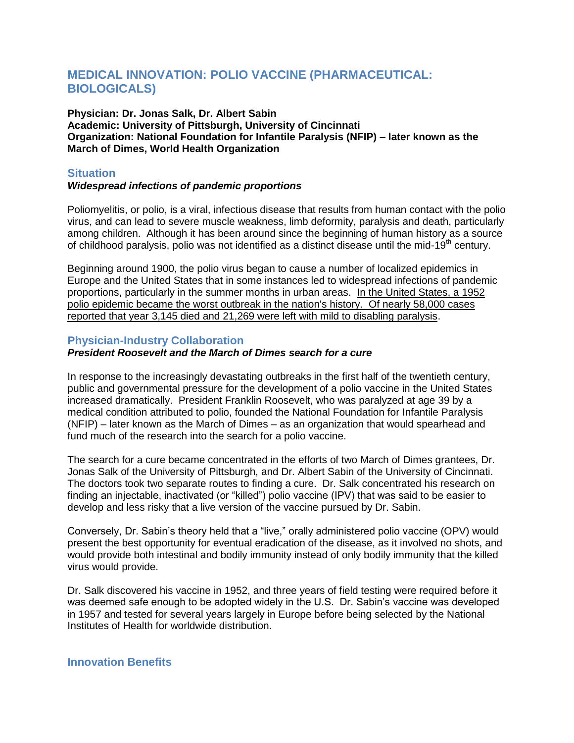# **MEDICAL INNOVATION: POLIO VACCINE (PHARMACEUTICAL: BIOLOGICALS)**

**Physician: Dr. Jonas Salk, Dr. Albert Sabin Academic: University of Pittsburgh, University of Cincinnati Organization: National Foundation for Infantile Paralysis (NFIP)** – **later known as the March of Dimes, World Health Organization**

### **Situation**

#### *Widespread infections of pandemic proportions*

Poliomyelitis, or polio, is a viral, infectious disease that results from human contact with the polio virus, and can lead to severe muscle weakness, limb deformity, paralysis and death, particularly among children. Although it has been around since the beginning of human history as a source of childhood paralysis, polio was not identified as a distinct disease until the mid-19<sup>th</sup> century.

Beginning around 1900, the polio virus began to cause a number of localized epidemics in Europe and the United States that in some instances led to widespread infections of pandemic proportions, particularly in the summer months in urban areas. In the United States, a 1952 polio epidemic became the worst outbreak in the nation's history. Of nearly 58,000 cases reported that year 3,145 died and 21,269 were left with mild to disabling paralysis.

#### **Physician-Industry Collaboration**

# *President Roosevelt and the March of Dimes search for a cure*

In response to the increasingly devastating outbreaks in the first half of the twentieth century, public and governmental pressure for the development of a polio vaccine in the United States increased dramatically. President Franklin Roosevelt, who was paralyzed at age 39 by a medical condition attributed to polio, founded the National Foundation for Infantile Paralysis (NFIP) – later known as the March of Dimes – as an organization that would spearhead and fund much of the research into the search for a polio vaccine.

The search for a cure became concentrated in the efforts of two March of Dimes grantees, Dr. Jonas Salk of the University of Pittsburgh, and Dr. Albert Sabin of the University of Cincinnati. The doctors took two separate routes to finding a cure. Dr. Salk concentrated his research on finding an injectable, inactivated (or "killed") polio vaccine (IPV) that was said to be easier to develop and less risky that a live version of the vaccine pursued by Dr. Sabin.

Conversely, Dr. Sabin's theory held that a "live," orally administered polio vaccine (OPV) would present the best opportunity for eventual eradication of the disease, as it involved no shots, and would provide both intestinal and bodily immunity instead of only bodily immunity that the killed virus would provide.

Dr. Salk discovered his vaccine in 1952, and three years of field testing were required before it was deemed safe enough to be adopted widely in the U.S. Dr. Sabin's vaccine was developed in 1957 and tested for several years largely in Europe before being selected by the National Institutes of Health for worldwide distribution.

# **Innovation Benefits**